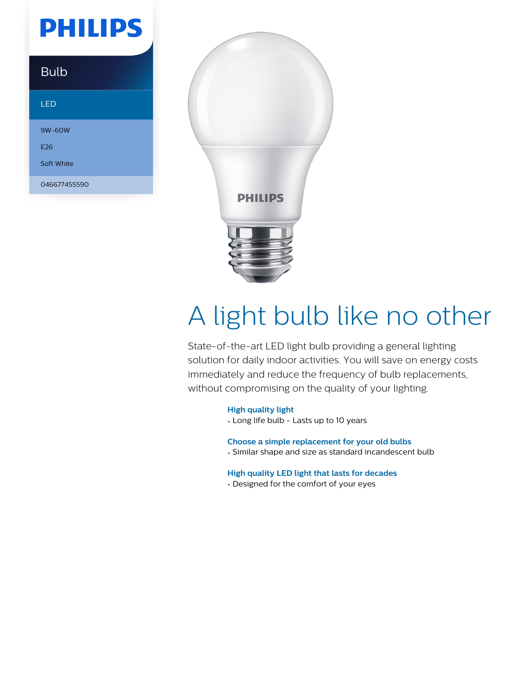# **PHILIPS**

### Bulb

#### LED

9W-60W E26

Soft White

046677455590



# A light bulb like no other

State-of-the-art LED light bulb providing a general lighting solution for daily indoor activities. You will save on energy costs immediately and reduce the frequency of bulb replacements, without compromising on the quality of your lighting.

#### **High quality light**

• Long life bulb - Lasts up to 10 years

**Choose a simple replacement for your old bulbs**

• Similar shape and size as standard incandescent bulb

#### **High quality LED light that lasts for decades**

• Designed for the comfort of your eyes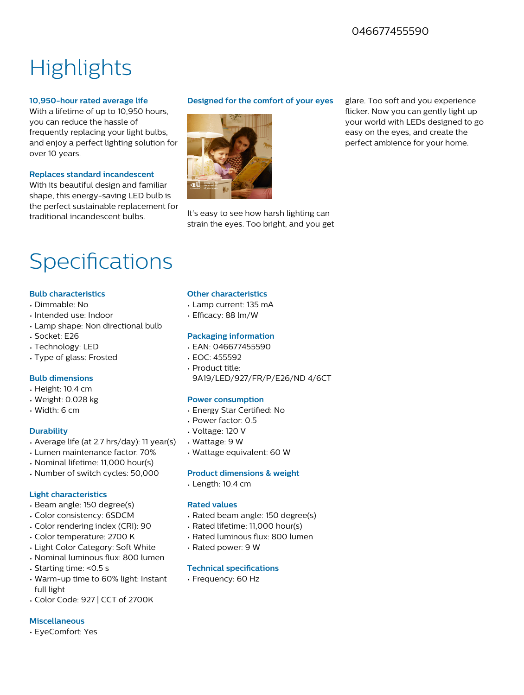### 046677455590

## **Highlights**

#### **10,950-hour rated average life**

With a lifetime of up to 10,950 hours, you can reduce the hassle of frequently replacing your light bulbs, and enjoy a perfect lighting solution for over 10 years.

#### **Replaces standard incandescent**

With its beautiful design and familiar shape, this energy-saving LED bulb is the perfect sustainable replacement for traditional incandescent bulbs.

#### **Designed for the comfort of your eyes**



It's easy to see how harsh lighting can strain the eyes. Too bright, and you get glare. Too soft and you experience flicker. Now you can gently light up your world with LEDs designed to go easy on the eyes, and create the perfect ambience for your home.

### Specifications

#### **Bulb characteristics**

- Dimmable: No
- Intended use: Indoor
- Lamp shape: Non directional bulb
- Socket: E26
- Technology: LED
- Type of glass: Frosted

#### **Bulb dimensions**

- Height: 10.4 cm
- Weight: 0.028 kg
- Width: 6 cm

#### **Durability**

- Average life (at 2.7 hrs/day): 11 year(s)
- Lumen maintenance factor: 70%
- Nominal lifetime: 11,000 hour(s)
- Number of switch cycles: 50,000

#### **Light characteristics**

- Beam angle: 150 degree(s)
- Color consistency: 6SDCM
- Color rendering index (CRI): 90
- Color temperature: 2700 K
- Light Color Category: Soft White
- Nominal luminous flux: 800 lumen
- Starting time: <0.5 s
- Warm-up time to 60% light: Instant full light
- Color Code: 927 | CCT of 2700K

#### **Miscellaneous**

• EyeComfort: Yes

#### **Other characteristics**

- Lamp current: 135 mA
- Efficacy: 88 lm/W

#### **Packaging information**

- EAN: 046677455590
- EOC: 455592
- Product title: 9A19/LED/927/FR/P/E26/ND 4/6CT

#### **Power consumption**

- Energy Star Certified: No
- Power factor: 0.5
- Voltage: 120 V
- Wattage: 9 W
- Wattage equivalent: 60 W

#### **Product dimensions & weight**

• Length: 10.4 cm

#### **Rated values**

- Rated beam angle: 150 degree(s)
- Rated lifetime: 11,000 hour(s)
- Rated luminous flux: 800 lumen
- Rated power: 9 W

#### **Technical specifications**

• Frequency: 60 Hz